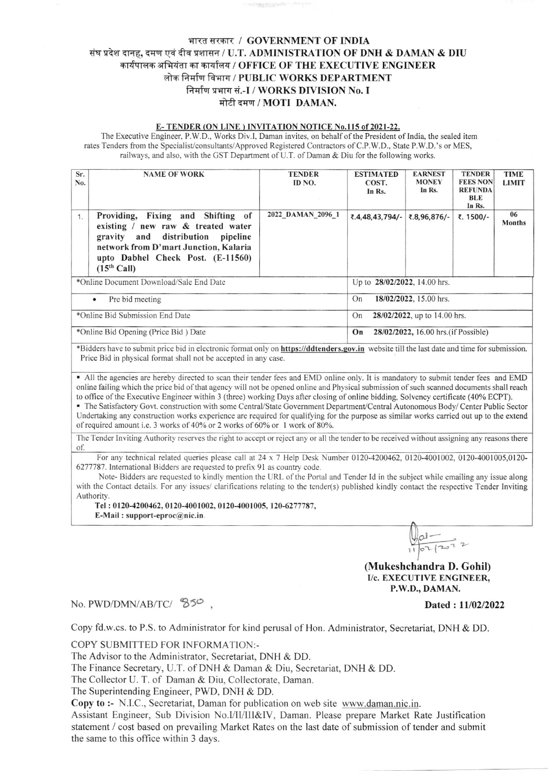## भारत सरकार / GOVERNMENT OF INDIA संघ प्रदेश दानह, दमण एवं दीव प्रशासन / U.T. ADMINISTRATION OF DNH & DAMAN & DIU कार्यपालक अभियंता का कार्यालय / OFFICE OF THE EXECUTIVE ENGINEER लोक निर्माण विभाग / PUBLIC WORKS DEPARTMENT निर्माण प्रभाग सं.-I / WORKS DIVISION No. I मोटी दमण / MOTI DAMAN.

#### E-TENDER (ON LINE) INVITATION NOTICE No.115 of 2021-22.

The Executive Engineer, P.W.D., Works Div.I, Daman invites, on behalf of the President of India, the sealed item rates Tenders from the Specialist/consultants/Approved Registered Contractors of C.P.W.D., State P.W.D.'s or MES, railways, and also, with the GST Department of U.T. of Daman & Diu for the following works.

| Sr.<br><b>NAME OF WORK</b><br>No.                                                                                                                                                                                 | <b>TENDER</b><br>ID NO.                    | <b>ESTIMATED</b><br>COST.<br>In Rs. | <b>EARNEST</b><br><b>MONEY</b><br>In Rs. | <b>TENDER</b><br><b>FEES NON</b><br><b>REFUNDA</b><br><b>BLE</b><br>In Rs. | <b>TIME</b><br><b>LIMIT</b> |  |
|-------------------------------------------------------------------------------------------------------------------------------------------------------------------------------------------------------------------|--------------------------------------------|-------------------------------------|------------------------------------------|----------------------------------------------------------------------------|-----------------------------|--|
| Providing, Fixing and Shifting of<br>1.<br>existing / new raw & treated water<br>gravity and distribution pipeline<br>network from D'mart Junction, Kalaria<br>upto Dabhel Check Post. (E-11560)<br>$(15th$ Call) | 2022 DAMAN 2096 1                          | ₹.4,48,43,794/-                     | ₹.8,96,876/-                             | ₹. 1500/-                                                                  | 06<br><b>Months</b>         |  |
| *Online Document Download/Sale End Date                                                                                                                                                                           | Up to 28/02/2022, 14.00 hrs.               |                                     |                                          |                                                                            |                             |  |
| Pre bid meeting<br>$\bullet$                                                                                                                                                                                      |                                            | 18/02/2022, 15.00 hrs.<br>On        |                                          |                                                                            |                             |  |
| *Online Bid Submission End Date                                                                                                                                                                                   |                                            | 28/02/2022, up to 14.00 hrs.<br>On  |                                          |                                                                            |                             |  |
| *Online Bid Opening (Price Bid) Date                                                                                                                                                                              | 28/02/2022, 16.00 hrs. (if Possible)<br>On |                                     |                                          |                                                                            |                             |  |

\*Bidders have to submit price bid in electronic format only on https://ddtenders.gov.in website till the last date and time for submission. Price Bid in physical format shall not be accepted in any case.

• All the agencies are hereby directed to scan their tender fees and EMD online only. It is mandatory to submit tender fees and EMD online failing which the price bid of that agency will not be opened online and Physical submission of such scanned documents shall reach to office of the Executive Engineer within 3 (three) working Days after closing of online bidding, Solvency certificate (40% ECPT).

- The Satisfactory Govt. construction with some Central/State Government Department/Central Autonomous Body/ Center Public Sector Undertaking any construction works experience are required for qualifying for the purpose as similar works carried out up to the extend of required amount i.e. 3 works of 40% or 2 works of 60% or 1 work of 80%.

The Tender Inviting Authority reserves the right to accept or reject any or all the tender to be received without assigning any reasons there of.

For any technical related queries please call at 24 x 7 Help Desk Number 0120-4200462, 0120-4001002, 0120-4001005,0120-6277787. International Bidders are requested to prefix 91 as country code.

Note-Bidders are requested to kindly mention the URL of the Portal and Tender Id in the subject while emailing any issue along with the Contact details. For any issues/ clarifications relating to the tender(s) published kindly contact the respective Tender Inviting Authority.

Tel: 0120-4200462, 0120-4001002, 0120-4001005, 120-6277787, E-Mail: support-eproc@nic.in.

# $\frac{1}{10^{2}1202}}$  2

(Mukeshchandra D. Gohil) I/c. EXECUTIVE ENGINEER, P.W.D., DAMAN.

## No. PWD/DMN/AB/TC/ 850.

Dated: 11/02/2022

Copy fd.w.cs. to P.S. to Administrator for kind perusal of Hon. Administrator, Secretariat, DNH & DD.

COPY SUBMITTED FOR INFORMATION:-

The Advisor to the Administrator, Secretariat, DNH & DD.

The Finance Secretary, U.T. of DNH & Daman & Diu, Secretariat, DNH & DD.

The Collector U. T. of Daman & Diu, Collectorate, Daman.

The Superintending Engineer, PWD, DNH & DD.

Copy to :- N.I.C., Secretariat, Daman for publication on web site www.daman.nic.in.

Assistant Engineer, Sub Division No.I/II/III&IV, Daman. Please prepare Market Rate Justification statement / cost based on prevailing Market Rates on the last date of submission of tender and submit the same to this office within 3 days.